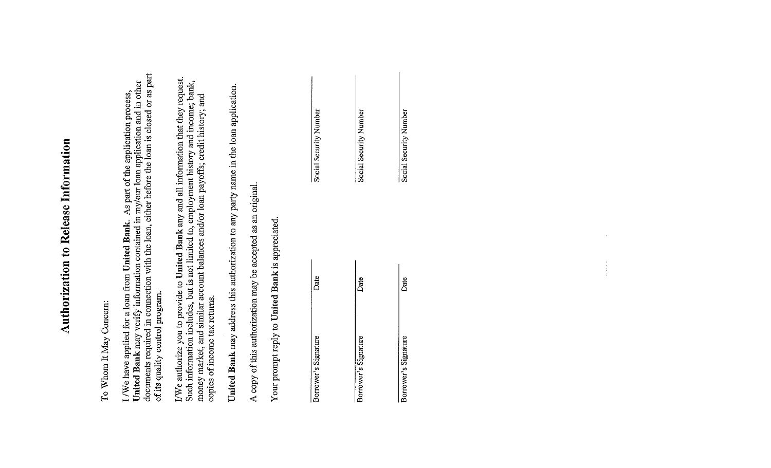# Authorization to Release Information

To Whom It May Concern:

**United Bank** may verify information contained in my/our loan application and in other documents required in connection with the loan, either before the loan is closed or as part I /We have applied for a loan from United Bank. As part of the application process, of its quality control program.

|                                                  | United Bank may address this authorization to any party name in the loan application. |                        |
|--------------------------------------------------|---------------------------------------------------------------------------------------|------------------------|
|                                                  | A copy of this authorization may be accepted as an original.                          |                        |
| Your prompt reply to United Bank is appreciated. |                                                                                       |                        |
|                                                  |                                                                                       |                        |
| Borrower's Signature                             | Date                                                                                  | Social Security Number |
|                                                  |                                                                                       |                        |
| Borrower's Signature                             | Date                                                                                  | Social Security Number |
|                                                  |                                                                                       |                        |
| Borrower's Signature                             | Date                                                                                  | Social Security Number |
|                                                  |                                                                                       |                        |
|                                                  |                                                                                       |                        |
|                                                  |                                                                                       |                        |
|                                                  |                                                                                       |                        |
|                                                  |                                                                                       |                        |

 $\begin{pmatrix} 1 \\ 1 \\ 1 \end{pmatrix}$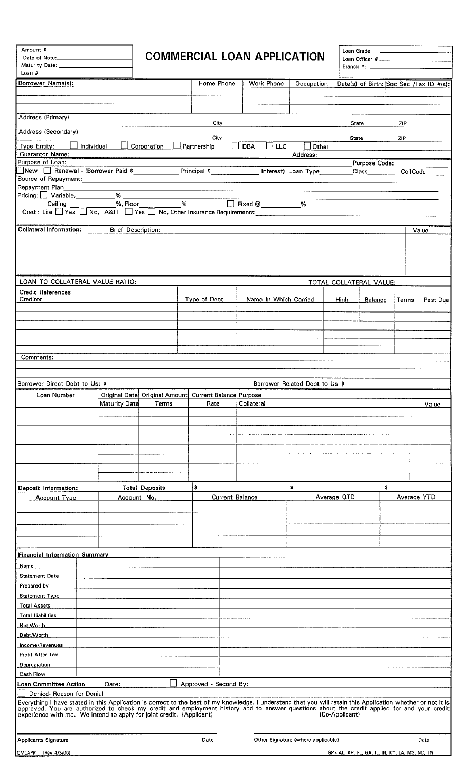| Amount \$__<br>Maturity Date: ________________<br>Loan $#$                                                                                                                                                                     |                           |                       | <b>COMMERCIAL LOAN APPLICATION</b>      |                          |                                    | Loan Grade              |                                                 | $\mathcal{L}$ . The contract of the contract of the contract of the contract of the contract of the contract of the contract of the contract of the contract of the contract of the contract of the contract of the contract of th |                                         |
|--------------------------------------------------------------------------------------------------------------------------------------------------------------------------------------------------------------------------------|---------------------------|-----------------------|-----------------------------------------|--------------------------|------------------------------------|-------------------------|-------------------------------------------------|------------------------------------------------------------------------------------------------------------------------------------------------------------------------------------------------------------------------------------|-----------------------------------------|
| Borrower Name(s):                                                                                                                                                                                                              |                           |                       | Home Phone                              | Work Phone               | Occupation                         |                         |                                                 |                                                                                                                                                                                                                                    | Date(s) of Birth: Soc Sec /Tax ID #(s): |
|                                                                                                                                                                                                                                |                           |                       |                                         |                          |                                    |                         |                                                 |                                                                                                                                                                                                                                    |                                         |
|                                                                                                                                                                                                                                |                           |                       |                                         |                          |                                    |                         |                                                 |                                                                                                                                                                                                                                    |                                         |
| Address (Primary)                                                                                                                                                                                                              |                           |                       | City                                    |                          |                                    | <b>State</b>            |                                                 | ZIP                                                                                                                                                                                                                                |                                         |
| Address (Secondary)                                                                                                                                                                                                            |                           |                       | City.                                   |                          |                                    | State                   |                                                 | <b>ZIP</b>                                                                                                                                                                                                                         |                                         |
| Individual<br>Type Entity:                                                                                                                                                                                                     |                           | Corporation           | Partnership                             | <b>LLC</b><br><b>DBA</b> | Other                              |                         |                                                 |                                                                                                                                                                                                                                    |                                         |
| <b>Guarantor Name:</b><br>Purpose of Loan:                                                                                                                                                                                     |                           |                       |                                         |                          | Address:                           |                         | Purpose Code:                                   |                                                                                                                                                                                                                                    |                                         |
| New   Renewal - (Borrower Paid \$ _______________ Principal \$ ____________ Interest) Loan Type                                                                                                                                |                           |                       |                                         |                          |                                    |                         | Class CollCode                                  |                                                                                                                                                                                                                                    |                                         |
| Repayment Plan                                                                                                                                                                                                                 |                           |                       |                                         |                          |                                    |                         |                                                 |                                                                                                                                                                                                                                    |                                         |
| Pricing: □ Variable, __________% __                                                                                                                                                                                            |                           |                       |                                         |                          |                                    |                         |                                                 |                                                                                                                                                                                                                                    |                                         |
| Ceiling<br>Credit Life Tyes Tho, A&H Tyes Tho, Other Insurance Requirements:                                                                                                                                                   |                           |                       |                                         |                          |                                    |                         |                                                 |                                                                                                                                                                                                                                    |                                         |
|                                                                                                                                                                                                                                |                           |                       |                                         |                          |                                    |                         |                                                 |                                                                                                                                                                                                                                    |                                         |
| <b>Collateral Information:</b>                                                                                                                                                                                                 | <b>Brief Description:</b> |                       |                                         |                          |                                    |                         |                                                 |                                                                                                                                                                                                                                    | Value                                   |
|                                                                                                                                                                                                                                |                           |                       |                                         |                          |                                    |                         |                                                 |                                                                                                                                                                                                                                    |                                         |
| LOAN TO COLLATERAL VALUE RATIO:<br>Credit References                                                                                                                                                                           |                           |                       |                                         |                          |                                    | TOTAL COLLATERAL VALUE: |                                                 |                                                                                                                                                                                                                                    |                                         |
| Creditor                                                                                                                                                                                                                       |                           |                       | Type of Debt                            | Name in Which Carried    |                                    | <b>High</b>             | <b>Balance</b>                                  | Terms                                                                                                                                                                                                                              | Past Due                                |
|                                                                                                                                                                                                                                |                           |                       |                                         |                          |                                    |                         |                                                 |                                                                                                                                                                                                                                    |                                         |
|                                                                                                                                                                                                                                |                           |                       |                                         |                          |                                    |                         |                                                 |                                                                                                                                                                                                                                    |                                         |
|                                                                                                                                                                                                                                |                           |                       |                                         |                          |                                    |                         |                                                 |                                                                                                                                                                                                                                    |                                         |
| Comments:                                                                                                                                                                                                                      |                           |                       |                                         |                          |                                    |                         |                                                 |                                                                                                                                                                                                                                    |                                         |
|                                                                                                                                                                                                                                |                           |                       |                                         |                          |                                    |                         |                                                 |                                                                                                                                                                                                                                    |                                         |
| Borrower Direct Debt to Us: \$                                                                                                                                                                                                 |                           |                       |                                         |                          | Borrower Related Debt to Us \$     |                         |                                                 |                                                                                                                                                                                                                                    |                                         |
| Loan Number                                                                                                                                                                                                                    | Original Date             |                       | Original Amount Current Balance Purpose |                          |                                    |                         |                                                 |                                                                                                                                                                                                                                    |                                         |
|                                                                                                                                                                                                                                | <b>Maturity Date</b>      | Terms                 | Rate                                    | Collateral               |                                    |                         |                                                 |                                                                                                                                                                                                                                    | Value                                   |
|                                                                                                                                                                                                                                |                           |                       |                                         |                          |                                    |                         |                                                 |                                                                                                                                                                                                                                    |                                         |
|                                                                                                                                                                                                                                |                           |                       |                                         |                          |                                    |                         |                                                 |                                                                                                                                                                                                                                    |                                         |
|                                                                                                                                                                                                                                |                           |                       |                                         |                          |                                    |                         |                                                 |                                                                                                                                                                                                                                    |                                         |
|                                                                                                                                                                                                                                |                           |                       |                                         |                          |                                    |                         |                                                 |                                                                                                                                                                                                                                    |                                         |
|                                                                                                                                                                                                                                |                           |                       |                                         |                          |                                    |                         |                                                 |                                                                                                                                                                                                                                    |                                         |
| Deposit Information:                                                                                                                                                                                                           |                           | <b>Total Deposits</b> | \$                                      |                          | \$                                 |                         | \$                                              |                                                                                                                                                                                                                                    |                                         |
| Account Type                                                                                                                                                                                                                   | Account No.               |                       | Current Balance                         |                          |                                    | Average QTD             |                                                 |                                                                                                                                                                                                                                    | Average YTD                             |
|                                                                                                                                                                                                                                |                           |                       |                                         |                          |                                    |                         |                                                 |                                                                                                                                                                                                                                    |                                         |
|                                                                                                                                                                                                                                |                           |                       |                                         |                          |                                    |                         |                                                 |                                                                                                                                                                                                                                    |                                         |
|                                                                                                                                                                                                                                |                           |                       |                                         |                          |                                    |                         |                                                 |                                                                                                                                                                                                                                    |                                         |
|                                                                                                                                                                                                                                |                           |                       |                                         |                          |                                    |                         |                                                 |                                                                                                                                                                                                                                    |                                         |
| <b>Financial Information Summary</b><br>Name                                                                                                                                                                                   |                           |                       |                                         |                          |                                    |                         |                                                 |                                                                                                                                                                                                                                    |                                         |
| <b>Statement Date</b>                                                                                                                                                                                                          |                           |                       |                                         |                          |                                    |                         |                                                 |                                                                                                                                                                                                                                    |                                         |
| Prepared by                                                                                                                                                                                                                    |                           |                       |                                         |                          |                                    |                         |                                                 |                                                                                                                                                                                                                                    |                                         |
| <b>Statement Type</b>                                                                                                                                                                                                          |                           |                       |                                         |                          |                                    |                         |                                                 |                                                                                                                                                                                                                                    |                                         |
| Total Assets                                                                                                                                                                                                                   |                           |                       |                                         |                          |                                    |                         |                                                 |                                                                                                                                                                                                                                    |                                         |
| <b>Total Liabilities</b><br>Net Worth                                                                                                                                                                                          |                           |                       |                                         |                          |                                    |                         |                                                 |                                                                                                                                                                                                                                    |                                         |
| Debt/Worth                                                                                                                                                                                                                     |                           |                       |                                         |                          |                                    |                         |                                                 |                                                                                                                                                                                                                                    |                                         |
| Income/Revenues                                                                                                                                                                                                                |                           |                       |                                         |                          |                                    |                         |                                                 |                                                                                                                                                                                                                                    |                                         |
| Profit After Tax                                                                                                                                                                                                               |                           |                       |                                         |                          |                                    |                         |                                                 |                                                                                                                                                                                                                                    |                                         |
| Depreciation<br>Cash Flow                                                                                                                                                                                                      |                           |                       |                                         |                          |                                    |                         |                                                 |                                                                                                                                                                                                                                    |                                         |
| Loan Committee Action                                                                                                                                                                                                          | Date:                     |                       | Approved - Second By:                   |                          |                                    |                         |                                                 |                                                                                                                                                                                                                                    |                                         |
| Denied-Reason for Denial                                                                                                                                                                                                       |                           |                       |                                         |                          |                                    |                         |                                                 |                                                                                                                                                                                                                                    |                                         |
| Everything I have stated in this Application is correct to the best of my knowledge. I understand that you will retain this Application whether or not it is approved. You are authorized to check my credit and employment hi |                           |                       |                                         |                          |                                    |                         |                                                 |                                                                                                                                                                                                                                    |                                         |
|                                                                                                                                                                                                                                |                           |                       |                                         |                          |                                    |                         |                                                 |                                                                                                                                                                                                                                    |                                         |
| Applicants Signature                                                                                                                                                                                                           |                           |                       | Date                                    |                          | Other Signature (where applicable) |                         |                                                 |                                                                                                                                                                                                                                    | Date                                    |
| CMLAPP (Rev 4/3/06)                                                                                                                                                                                                            |                           |                       |                                         |                          |                                    |                         | GP - AL, AR, FL, GA, IL, IN, KY, LA, MS, NC, TN |                                                                                                                                                                                                                                    |                                         |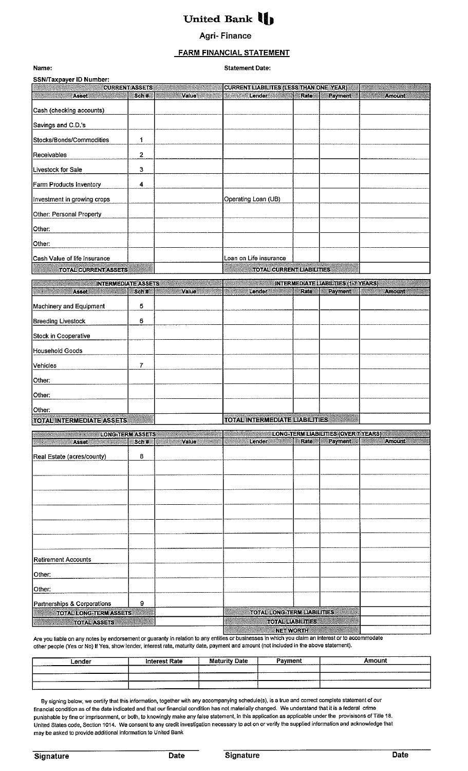# United Bank  $\blacksquare$

### **Agri- Finance**

### **FARM FINANCIAL STATEMENT**

| Name:                                                                                                                                                                                                                                                   |                       |                       | <b>Statement Date:</b>                                             |           |                                            |                                                       |
|---------------------------------------------------------------------------------------------------------------------------------------------------------------------------------------------------------------------------------------------------------|-----------------------|-----------------------|--------------------------------------------------------------------|-----------|--------------------------------------------|-------------------------------------------------------|
| SSN/Taxpayer ID Number:                                                                                                                                                                                                                                 |                       |                       |                                                                    |           |                                            |                                                       |
|                                                                                                                                                                                                                                                         | <b>CURRENT ASSETS</b> |                       | <b>CURRENT LIABILITES (LESS THAN ONE YEAR)</b>                     |           |                                            |                                                       |
| Asset <b>Asset</b>                                                                                                                                                                                                                                      | Sch#                  | Value <b>Williams</b> | <b>Lender Market</b>                                               | Rate      | Payment                                    | <b>Amount</b><br><b>BARBARA</b>                       |
| Cash (checking accounts)                                                                                                                                                                                                                                |                       |                       |                                                                    |           |                                            |                                                       |
| Savings and C.D.'s                                                                                                                                                                                                                                      |                       |                       |                                                                    |           |                                            |                                                       |
| Stocks/Bonds/Commodities                                                                                                                                                                                                                                | 1                     |                       |                                                                    |           |                                            |                                                       |
| Receivables                                                                                                                                                                                                                                             | $\mathbf 2$           |                       |                                                                    |           |                                            |                                                       |
| Livestock for Sale                                                                                                                                                                                                                                      | 3                     |                       |                                                                    |           |                                            |                                                       |
| Farm Products Inventory                                                                                                                                                                                                                                 | 4                     |                       |                                                                    |           |                                            |                                                       |
| Investment in growing crops                                                                                                                                                                                                                             |                       |                       | Operating Loan (UB)                                                |           |                                            |                                                       |
| Other: Personal Property                                                                                                                                                                                                                                |                       |                       |                                                                    |           |                                            |                                                       |
| Other:                                                                                                                                                                                                                                                  |                       |                       |                                                                    |           |                                            |                                                       |
| Other:                                                                                                                                                                                                                                                  |                       |                       |                                                                    |           |                                            |                                                       |
| Cash Value of life insurance                                                                                                                                                                                                                            |                       |                       | Loan on Life insurance                                             |           |                                            |                                                       |
| <b>TOTAL CURRENT ASSETS</b>                                                                                                                                                                                                                             |                       |                       | <b>TOTAL CURRENT LIABILITIES</b>                                   |           |                                            |                                                       |
| <b>INTERMEDIATE ASSETS</b>                                                                                                                                                                                                                              |                       |                       |                                                                    |           | <b>INTERMEDIATE LIABILTIES (1-7 YEARS)</b> |                                                       |
| <b>Asset</b>                                                                                                                                                                                                                                            | Sch#                  | Value                 | Lender                                                             | Rate      | Payment                                    | <b>Amount</b>                                         |
| Machinery and Equipment                                                                                                                                                                                                                                 | 5                     |                       |                                                                    |           |                                            |                                                       |
| <b>Breeding Livestock</b>                                                                                                                                                                                                                               | 6                     |                       |                                                                    |           |                                            |                                                       |
| Stock in Cooperative                                                                                                                                                                                                                                    |                       |                       |                                                                    |           |                                            |                                                       |
| Household Goods                                                                                                                                                                                                                                         |                       |                       |                                                                    |           |                                            |                                                       |
| Vehicles                                                                                                                                                                                                                                                | 7                     |                       |                                                                    |           |                                            |                                                       |
| Other:                                                                                                                                                                                                                                                  |                       |                       |                                                                    |           |                                            |                                                       |
| Other:                                                                                                                                                                                                                                                  |                       |                       |                                                                    |           |                                            |                                                       |
| Other:                                                                                                                                                                                                                                                  |                       |                       |                                                                    |           |                                            |                                                       |
| TOTAL INTERMEDIATE ASSETS                                                                                                                                                                                                                               |                       |                       | Antikomatan melanggunan k<br><b>TOTAL INTERMEDIATE LIABILITIES</b> |           |                                            |                                                       |
| LONG-TERMASSETS<br><u>STANDON A PARTICIPA DE COMUNICACIÓN DE COMUNICACIÓN DE COMUNICACIÓN DE COMUNICACIÓN DE COMUNICACIÓN DE COMUNICACIÓN DE COMUNICACIÓN DE COMUNICACIÓN DE COMUNICACIÓN DE COMUNICACIÓN DE COMUNICACIÓN DE COMUNICACIÓN DE COMUNI</u> |                       |                       |                                                                    |           |                                            | LONG-TERM LIABILITIES (OVER 7 YEARS)<br><b>Amount</b> |
| <b>Asset</b><br><u> Manazarta</u>                                                                                                                                                                                                                       | Sch#                  | <b>Value</b>          | Lender                                                             |           | Rate Payment                               |                                                       |
| Real Estate (acres/county)                                                                                                                                                                                                                              | 8                     |                       |                                                                    |           |                                            |                                                       |
|                                                                                                                                                                                                                                                         |                       |                       |                                                                    |           |                                            |                                                       |
|                                                                                                                                                                                                                                                         |                       |                       |                                                                    |           |                                            |                                                       |
|                                                                                                                                                                                                                                                         |                       |                       |                                                                    |           |                                            |                                                       |
|                                                                                                                                                                                                                                                         |                       |                       |                                                                    |           |                                            |                                                       |
|                                                                                                                                                                                                                                                         |                       |                       |                                                                    |           |                                            |                                                       |
|                                                                                                                                                                                                                                                         |                       |                       |                                                                    |           |                                            |                                                       |
| Retirement Accounts                                                                                                                                                                                                                                     |                       |                       |                                                                    |           |                                            |                                                       |
| Other:                                                                                                                                                                                                                                                  |                       |                       |                                                                    |           |                                            |                                                       |
| Other:                                                                                                                                                                                                                                                  |                       |                       |                                                                    |           |                                            |                                                       |
| Partnerships & Corporations                                                                                                                                                                                                                             | 9                     |                       |                                                                    |           |                                            |                                                       |
| <b>TOTAL LONG-TERM ASSETS</b>                                                                                                                                                                                                                           |                       |                       | <b>TOTAL LONG-TERM LIABILITIES</b>                                 |           |                                            |                                                       |
| <b>TOTAL ASSETS</b>                                                                                                                                                                                                                                     |                       |                       | <b>TOTAL LIABILITIES</b>                                           |           |                                            |                                                       |
|                                                                                                                                                                                                                                                         |                       |                       |                                                                    | NET WORTH |                                            |                                                       |

Are you liable on any notes by endorsement or guaranty in relation to any entities or businesses in which you claim an interest or to accommodate other people (Yes or No) If Yes, show tender, interest rate, maturity date, payment and amount (not included in the above statement).

| ---------<br>∟ender | <b>Interest Rate</b> | ---------------<br><b>Maturity Date</b> | -------------------<br>Payment | Amount |
|---------------------|----------------------|-----------------------------------------|--------------------------------|--------|
|                     |                      |                                         |                                |        |
|                     | __________           | ---------                               |                                |        |
| .                   |                      |                                         |                                |        |

By signing below, we certify that this information, together with any accompanying schedule{s), is a true and correct complete statement of our financial condition as of the date indicated and that our financial condition has not materially changed. We understand that it is a federal crime punishable by fine or imprisonment, or both, to knowingly make any false statement, in this application as applicable under the provisisons of Title 18. United States code, Section 1014. We consent to any credit investigation necessary to act on or verify the supplied information and acknowledge that may be asked to provide additional information to United Bank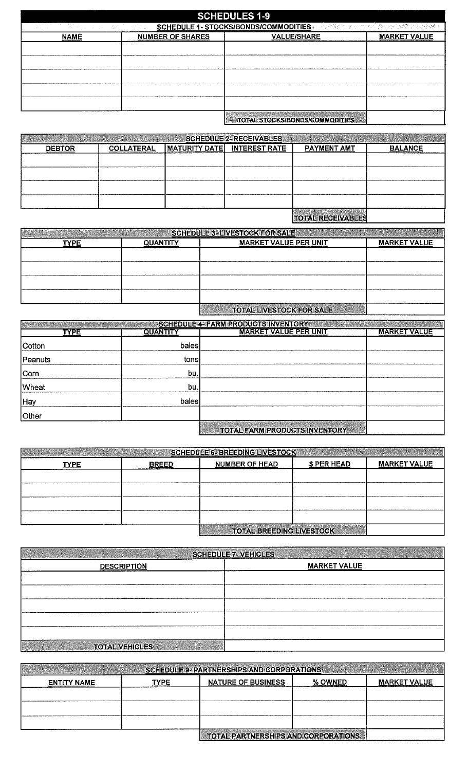| <b>SCHEDULES 1-9</b>                                                                                          |                         |                                       |                     |  |  |  |  |
|---------------------------------------------------------------------------------------------------------------|-------------------------|---------------------------------------|---------------------|--|--|--|--|
| 다는 다른 사람에 있는 사람들이 많이 <u>하</u> 나 보였다.<br>计定程控制字句 医内引起动脉 医精制定螺辑<br><b>SCHEDULE 1- STOCKS/BONDS/COMMODITIES-</b> |                         |                                       |                     |  |  |  |  |
| <b>NAME</b>                                                                                                   | <b>NUMBER OF SHARES</b> | <b>VALUE/SHARE</b>                    | <b>MARKET VALUE</b> |  |  |  |  |
|                                                                                                               |                         |                                       |                     |  |  |  |  |
|                                                                                                               |                         |                                       |                     |  |  |  |  |
|                                                                                                               |                         |                                       |                     |  |  |  |  |
|                                                                                                               |                         |                                       |                     |  |  |  |  |
|                                                                                                               |                         |                                       |                     |  |  |  |  |
|                                                                                                               |                         |                                       |                     |  |  |  |  |
|                                                                                                               |                         |                                       |                     |  |  |  |  |
|                                                                                                               |                         | <b>TOTAL STOCKS/BONDS/COMMODITIES</b> |                     |  |  |  |  |

|               |                   |                             | <b>SCHEDULE 2- RECEIVABLES</b> |                    |                |
|---------------|-------------------|-----------------------------|--------------------------------|--------------------|----------------|
| <b>DEBTOR</b> | <b>COLLATERAL</b> | MATURITY DATE INTEREST RATE |                                | <b>PAYMENT AMT</b> | <b>BALANCE</b> |
|               |                   |                             |                                |                    |                |
|               |                   |                             |                                |                    |                |
|               |                   |                             |                                |                    |                |
|               |                   |                             |                                |                    |                |
|               |                   |                             |                                |                    |                |
|               |                   |                             |                                |                    |                |

## **TOTAL RECEIVABLES**

| <u>SCHEDULE 3- LIVESTOCK FOR SALE</u> |                 |                                 |                     |  |  |  |
|---------------------------------------|-----------------|---------------------------------|---------------------|--|--|--|
| TYPE                                  | <b>OUANTITY</b> | <b>MARKET VALUE PER UNIT</b>    | <b>MARKET VALUE</b> |  |  |  |
|                                       |                 |                                 |                     |  |  |  |
|                                       |                 |                                 |                     |  |  |  |
|                                       |                 |                                 |                     |  |  |  |
|                                       |                 |                                 |                     |  |  |  |
|                                       |                 |                                 |                     |  |  |  |
|                                       |                 | <b>TOTAL LIVESTOCK FOR SALE</b> |                     |  |  |  |

|              |          | <u> Schedule4=Farm Products inventory</u> |                     |
|--------------|----------|-------------------------------------------|---------------------|
| TYPE         | QUANTITY | <b>MARKET VALUE PER UNIT</b>              | <b>MARKET VALUE</b> |
| Cotton       | bales    |                                           |                     |
| Peanuts      | tons     |                                           |                     |
| Corn         | bu,      |                                           |                     |
| <b>Wheat</b> | bu,      |                                           |                     |
| Hay          | bales    |                                           |                     |
| <b>Other</b> |          |                                           |                     |
|              |          | <b>TOTAL FARM PRODUCTS INVENTORY</b>      |                     |

|      |              | <b>SCHEDULE 6- BREEDING LIVESTOCK</b> |                  |                     |
|------|--------------|---------------------------------------|------------------|---------------------|
| TYPE | <b>BREED</b> | <b>NUMBER OF HEAD</b>                 | <b>SPER HEAD</b> | <b>MARKET VALUE</b> |
|      |              |                                       |                  |                     |
|      |              |                                       |                  |                     |
|      |              |                                       |                  |                     |
|      |              |                                       |                  |                     |
|      |              |                                       |                  |                     |
|      |              | <b>TOTAL RREEDING LIVESTOCK</b>       |                  |                     |

|                       | SCHEDULE 7- VEHICLES |
|-----------------------|----------------------|
| <b>DESCRIPTION</b>    | <b>MARKET VALUE</b>  |
|                       |                      |
|                       |                      |
|                       |                      |
|                       |                      |
|                       |                      |
| <b>TOTAL VEHICLES</b> |                      |

| <b>SCHEDULE'9- PARTNERSHIPS AND CORPORATIONS</b> |      |                                     |         |                     |  |  |  |
|--------------------------------------------------|------|-------------------------------------|---------|---------------------|--|--|--|
| <b>ENTITY NAME</b>                               | TYPE | <b>NATURE OF BUSINESS</b>           | % OWNED | <b>MARKET VALUE</b> |  |  |  |
|                                                  |      |                                     |         |                     |  |  |  |
|                                                  |      |                                     |         |                     |  |  |  |
|                                                  |      |                                     |         |                     |  |  |  |
|                                                  |      | TOTAL PARTNERSHIPS AND CORPORATIONS |         |                     |  |  |  |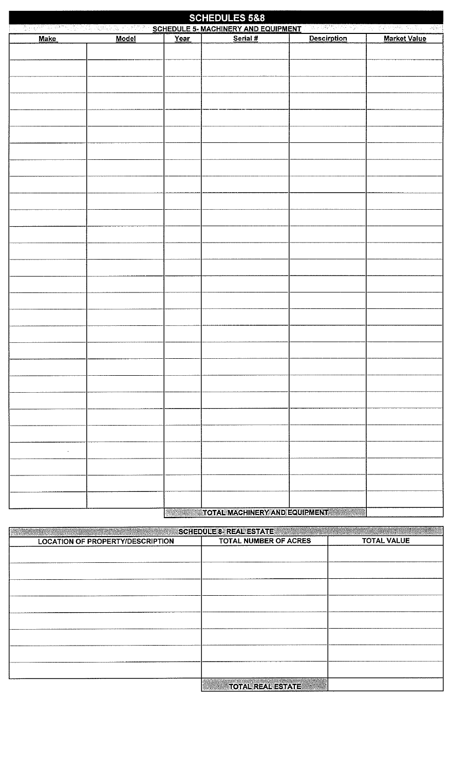| <b>SCHEDULES 5&amp;8</b><br>SERVERS TO A STREET IN THE SCHEDULE 5- MACHINERY AND EQUIPMENT A BEST AND A STREET AND A STREET AND A SERVERS |       |      |                                                                        |                    |                     |  |  |  |
|-------------------------------------------------------------------------------------------------------------------------------------------|-------|------|------------------------------------------------------------------------|--------------------|---------------------|--|--|--|
| <b>Make</b>                                                                                                                               | Model | Year | Serial #                                                               | <b>Descirption</b> | <b>Market Value</b> |  |  |  |
|                                                                                                                                           |       |      |                                                                        |                    |                     |  |  |  |
|                                                                                                                                           |       |      |                                                                        |                    |                     |  |  |  |
|                                                                                                                                           |       |      |                                                                        |                    |                     |  |  |  |
|                                                                                                                                           |       |      |                                                                        |                    |                     |  |  |  |
|                                                                                                                                           |       |      |                                                                        |                    |                     |  |  |  |
|                                                                                                                                           |       |      |                                                                        |                    |                     |  |  |  |
|                                                                                                                                           |       |      |                                                                        |                    |                     |  |  |  |
|                                                                                                                                           |       |      |                                                                        |                    |                     |  |  |  |
|                                                                                                                                           |       |      |                                                                        |                    |                     |  |  |  |
|                                                                                                                                           |       |      |                                                                        |                    |                     |  |  |  |
|                                                                                                                                           |       |      |                                                                        |                    |                     |  |  |  |
|                                                                                                                                           |       |      |                                                                        |                    |                     |  |  |  |
|                                                                                                                                           |       |      |                                                                        |                    |                     |  |  |  |
|                                                                                                                                           |       |      |                                                                        |                    |                     |  |  |  |
|                                                                                                                                           |       |      |                                                                        |                    |                     |  |  |  |
|                                                                                                                                           |       |      |                                                                        |                    |                     |  |  |  |
|                                                                                                                                           |       |      |                                                                        |                    |                     |  |  |  |
|                                                                                                                                           |       |      |                                                                        |                    |                     |  |  |  |
|                                                                                                                                           |       |      |                                                                        |                    |                     |  |  |  |
|                                                                                                                                           |       |      |                                                                        |                    |                     |  |  |  |
|                                                                                                                                           |       |      |                                                                        |                    |                     |  |  |  |
|                                                                                                                                           |       |      |                                                                        |                    |                     |  |  |  |
|                                                                                                                                           |       |      |                                                                        |                    |                     |  |  |  |
|                                                                                                                                           |       |      |                                                                        |                    |                     |  |  |  |
|                                                                                                                                           |       |      |                                                                        |                    |                     |  |  |  |
|                                                                                                                                           |       |      |                                                                        |                    |                     |  |  |  |
|                                                                                                                                           |       |      |                                                                        |                    |                     |  |  |  |
|                                                                                                                                           |       |      |                                                                        |                    |                     |  |  |  |
|                                                                                                                                           |       |      |                                                                        |                    |                     |  |  |  |
|                                                                                                                                           |       |      |                                                                        |                    |                     |  |  |  |
|                                                                                                                                           |       |      |                                                                        |                    |                     |  |  |  |
|                                                                                                                                           |       |      |                                                                        |                    |                     |  |  |  |
|                                                                                                                                           |       |      |                                                                        |                    |                     |  |  |  |
|                                                                                                                                           |       |      |                                                                        |                    |                     |  |  |  |
|                                                                                                                                           |       |      |                                                                        |                    |                     |  |  |  |
|                                                                                                                                           |       |      |                                                                        |                    |                     |  |  |  |
|                                                                                                                                           |       |      |                                                                        |                    |                     |  |  |  |
|                                                                                                                                           |       |      | <b>SALE TOTAL MACHINERY AND EQUIPMENT AND AND ALL AND AND ARTICLES</b> |                    |                     |  |  |  |

| SCHEDULE 8- REAL ESTATE                 |                          |                    |
|-----------------------------------------|--------------------------|--------------------|
| <b>LOCATION OF PROPERTY/DESCRIPTION</b> | TOTAL NUMBER OF ACRES    | <b>TOTAL VALUE</b> |
|                                         |                          |                    |
|                                         |                          |                    |
|                                         |                          |                    |
|                                         |                          |                    |
|                                         |                          |                    |
|                                         |                          |                    |
|                                         |                          |                    |
|                                         |                          |                    |
|                                         |                          |                    |
|                                         |                          |                    |
|                                         |                          |                    |
|                                         |                          |                    |
|                                         |                          |                    |
|                                         | <b>TOTAL REAL ESTATE</b> |                    |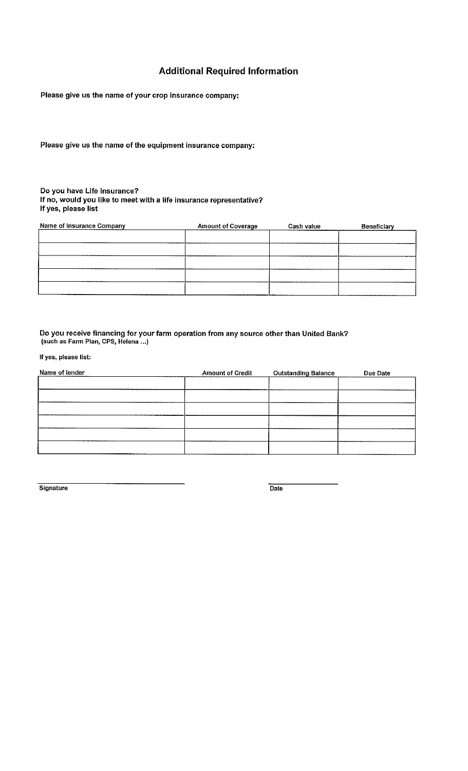### **Additional Required Information**

Please give us the name of your crop insurance company:

Please give us the name of the equipment insurance company:

### Do you have Life Insurance? If no, would you like to meet with a life insurance representative? If yes, please list

| <b>Name of Insurance Company</b> | <b>Amount of Coverage</b> | Cash value | Beneficiary |  |
|----------------------------------|---------------------------|------------|-------------|--|
|                                  |                           |            |             |  |
|                                  |                           |            |             |  |
|                                  |                           |            |             |  |
|                                  |                           |            |             |  |
|                                  |                           |            |             |  |
|                                  |                           |            |             |  |

### Do you receive financing for your farm operation from any source other than United Bank? **(such as Farm Plan, CPS, Helena** ... )

**If yes, please list:** 

| Name of lender | <b>Amount of Credit</b> | <b>Outstanding Balance</b> | Due Date |
|----------------|-------------------------|----------------------------|----------|
|                |                         |                            |          |
|                |                         |                            |          |
|                |                         |                            |          |
|                |                         |                            |          |
|                |                         |                            |          |
|                |                         |                            |          |

**Signature** Date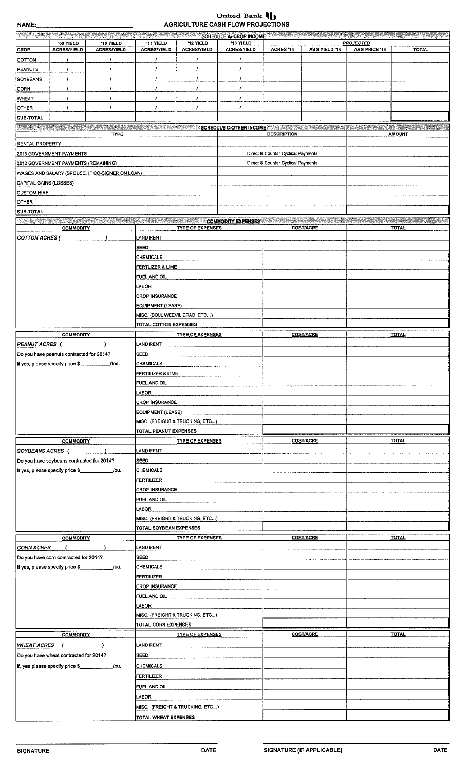# United Bank  $\prod_{i=1}^{n}$  AGRICULTURE CASH FLOW PROJECTIONS

| namc.                                          |                                           |                                                 | <b>AUDIT</b>                                        |                                 | 0610RE 0A0111 LON FRO0EO HONO   |                                    |                  |                                   |                                                                                                                                                                                                                                |
|------------------------------------------------|-------------------------------------------|-------------------------------------------------|-----------------------------------------------------|---------------------------------|---------------------------------|------------------------------------|------------------|-----------------------------------|--------------------------------------------------------------------------------------------------------------------------------------------------------------------------------------------------------------------------------|
|                                                |                                           |                                                 |                                                     |                                 |                                 |                                    |                  |                                   | <b>SCHEDULE A-CROP INCOME A-CROP INCOME A-CROP INCOME A-CROP INCOME A-CROP INCOME A-CROP INCOME A-CROP INCOME</b>                                                                                                              |
| <b>CROP</b>                                    | '09 YIELD<br><b>ACRES/YIELD</b>           | '10 YIELD<br><b>ACRES/YIELD</b>                 | '11 YIELD<br><b>ACRES/YIELD</b>                     | '12 YIELD<br><b>ACRES/YIELD</b> | '13 YIELD<br><b>ACRES/YIELD</b> | ACRES '14                          | AVG YIELD '14    | <b>PROJECTED</b><br>AVG PRICE '14 | <b>TOTAL</b>                                                                                                                                                                                                                   |
|                                                |                                           |                                                 |                                                     |                                 |                                 |                                    |                  |                                   |                                                                                                                                                                                                                                |
| COTTON                                         |                                           | -1                                              | $\prime$                                            | $\prime$                        |                                 |                                    |                  |                                   |                                                                                                                                                                                                                                |
| <b>PEANUTS</b>                                 | 1                                         | 1                                               |                                                     | 1                               | 1                               |                                    |                  |                                   |                                                                                                                                                                                                                                |
| <b>SOYBEANS</b>                                | T                                         | 1                                               | 1                                                   | $\prime$                        | 7                               |                                    |                  |                                   |                                                                                                                                                                                                                                |
| CORN                                           | 1                                         | Ŧ                                               | $\prime$                                            | $\prime$                        | 1                               |                                    |                  |                                   |                                                                                                                                                                                                                                |
| <b>WHEAT</b>                                   |                                           | 1                                               | Ŧ                                                   | $\prime$                        | 7                               |                                    |                  |                                   |                                                                                                                                                                                                                                |
|                                                |                                           |                                                 |                                                     | $\prime$                        |                                 |                                    |                  |                                   |                                                                                                                                                                                                                                |
| OTHER                                          | 1                                         |                                                 | $\prime$                                            |                                 | 7                               |                                    |                  |                                   |                                                                                                                                                                                                                                |
| <b>SUB TOTAL</b>                               |                                           |                                                 |                                                     |                                 |                                 |                                    |                  |                                   |                                                                                                                                                                                                                                |
|                                                |                                           |                                                 |                                                     |                                 |                                 |                                    |                  |                                   | <b>出现的防护性和实践性的发展的模式模式和过去式和过去分词和分析的变形性的过去式和过去分词 SCHEDULE C-OTHER INCOME 2003 3.8530代码 2003 医发热系统的复数性发育的 ASS SEE SAU 编辑如果以及数字图表的语句 2003</b>                                                                                      |
|                                                |                                           | <b>TYPE</b>                                     |                                                     |                                 |                                 | <b>DESCRIPTION</b>                 |                  |                                   | <b>AMOUNT</b>                                                                                                                                                                                                                  |
| <b>RENTAL PROPERTY</b>                         |                                           |                                                 |                                                     |                                 |                                 |                                    |                  |                                   |                                                                                                                                                                                                                                |
|                                                | 2013 GOVERNMENT PAYMENTS                  |                                                 |                                                     |                                 |                                 | Direct & Counter Cyclical Payments |                  |                                   |                                                                                                                                                                                                                                |
|                                                | 2012 GOVERNMENT PAYMENTS (REMAINING)      |                                                 |                                                     |                                 |                                 | Direct & Counter Cyclical Payments |                  |                                   |                                                                                                                                                                                                                                |
|                                                |                                           |                                                 |                                                     |                                 |                                 |                                    |                  |                                   |                                                                                                                                                                                                                                |
|                                                |                                           | WAGES AND SALARY (SPOUSE, IF CO-SIGNER ON LOAN) |                                                     |                                 |                                 |                                    |                  |                                   |                                                                                                                                                                                                                                |
| CAPITAL GAINS (LOSSES)                         |                                           |                                                 |                                                     |                                 |                                 |                                    |                  |                                   |                                                                                                                                                                                                                                |
| <b>CUSTOM HIRE</b>                             |                                           |                                                 |                                                     |                                 |                                 |                                    |                  |                                   |                                                                                                                                                                                                                                |
| <b>OTHER</b>                                   |                                           |                                                 |                                                     |                                 |                                 |                                    |                  |                                   |                                                                                                                                                                                                                                |
| <b>SUB-TOTAL</b>                               |                                           |                                                 |                                                     |                                 |                                 |                                    |                  |                                   |                                                                                                                                                                                                                                |
|                                                |                                           |                                                 |                                                     |                                 |                                 |                                    |                  |                                   | NEO TELEVISION NEWSFILM COMMUNICATION COMMUNICATION OF COMMUNICATION COMMUNICATIONS IN THE COMMUNICATION OF THE COMMUNICATION OF THE COMMUNICATION OF THE COMMUNICATION OF THE COMMUNICATION OF THE COMMUNICATION OF THE COMMU |
|                                                | <b>COMMODITY</b>                          |                                                 |                                                     | <b>TYPE OF EXPENSES</b>         |                                 |                                    | <b>COST/ACRE</b> |                                   | <b>TOTAL</b>                                                                                                                                                                                                                   |
|                                                |                                           |                                                 |                                                     |                                 |                                 |                                    |                  |                                   |                                                                                                                                                                                                                                |
| <b>COTTON ACRES (</b>                          |                                           |                                                 | LAND RENT                                           |                                 |                                 |                                    |                  |                                   |                                                                                                                                                                                                                                |
|                                                |                                           |                                                 | SEED                                                |                                 |                                 |                                    |                  |                                   |                                                                                                                                                                                                                                |
|                                                |                                           |                                                 | CHEMICALS                                           |                                 |                                 |                                    |                  |                                   |                                                                                                                                                                                                                                |
|                                                |                                           |                                                 | FERTLIZER & LIME                                    |                                 |                                 |                                    |                  |                                   |                                                                                                                                                                                                                                |
|                                                |                                           |                                                 | FUEL AND OIL                                        |                                 |                                 |                                    |                  |                                   |                                                                                                                                                                                                                                |
|                                                |                                           |                                                 |                                                     |                                 |                                 |                                    |                  |                                   |                                                                                                                                                                                                                                |
|                                                |                                           |                                                 | LABOR                                               |                                 |                                 |                                    |                  |                                   |                                                                                                                                                                                                                                |
|                                                |                                           |                                                 |                                                     | <b>CROP INSURANCE</b>           |                                 |                                    |                  |                                   |                                                                                                                                                                                                                                |
|                                                |                                           |                                                 | EQUIPMENT (LEASE)                                   |                                 |                                 |                                    |                  |                                   |                                                                                                                                                                                                                                |
|                                                |                                           |                                                 | MISC. (BOLL WEEVIL ERAD, ETC)                       |                                 |                                 |                                    |                  |                                   |                                                                                                                                                                                                                                |
|                                                |                                           |                                                 | <b>TOTAL COTTON EXPENSES</b>                        |                                 |                                 |                                    |                  |                                   |                                                                                                                                                                                                                                |
|                                                |                                           |                                                 |                                                     |                                 |                                 |                                    |                  |                                   |                                                                                                                                                                                                                                |
|                                                | <b>COMMODITY</b>                          |                                                 |                                                     | <b>TYPE OF EXPENSES</b>         |                                 |                                    | <b>COST/ACRE</b> |                                   | <b>TOTAL</b>                                                                                                                                                                                                                   |
| <b>PEANUT ACRES</b>                            |                                           |                                                 | LAND RENT                                           |                                 |                                 |                                    |                  |                                   |                                                                                                                                                                                                                                |
|                                                | Do you have peanuts contracted for 2014?  |                                                 | SEED                                                |                                 |                                 |                                    |                  |                                   |                                                                                                                                                                                                                                |
|                                                | If yes, please specify price \$           | /ton.                                           | <b>CHEMICALS</b>                                    |                                 |                                 |                                    |                  |                                   |                                                                                                                                                                                                                                |
|                                                |                                           |                                                 |                                                     |                                 |                                 |                                    |                  |                                   |                                                                                                                                                                                                                                |
|                                                |                                           | FERTILIZER & LIME                               |                                                     |                                 |                                 |                                    |                  |                                   |                                                                                                                                                                                                                                |
|                                                |                                           |                                                 | FUEL AND OIL                                        |                                 |                                 |                                    |                  |                                   |                                                                                                                                                                                                                                |
|                                                |                                           |                                                 | LABOR                                               |                                 |                                 |                                    |                  |                                   |                                                                                                                                                                                                                                |
|                                                |                                           |                                                 | <b>CROP INSURANCE</b>                               |                                 |                                 |                                    |                  |                                   |                                                                                                                                                                                                                                |
|                                                |                                           |                                                 |                                                     |                                 |                                 |                                    |                  |                                   |                                                                                                                                                                                                                                |
|                                                |                                           |                                                 |                                                     | EQUIPMENT (LEASE)               |                                 |                                    |                  |                                   |                                                                                                                                                                                                                                |
|                                                |                                           |                                                 | MISC. (FREIGHT & TRUCKING, ETC)                     |                                 |                                 |                                    |                  |                                   |                                                                                                                                                                                                                                |
|                                                |                                           |                                                 | TOTAL PEANUT EXPENSES                               |                                 |                                 |                                    |                  |                                   |                                                                                                                                                                                                                                |
|                                                | <b>COMMODITY</b>                          |                                                 |                                                     | <b>TYPE OF EXPENSES</b>         |                                 |                                    | <b>COST/ACRE</b> |                                   | <b>TOTAL</b>                                                                                                                                                                                                                   |
| <b>SOYBEANS ACRES</b> (                        |                                           |                                                 | LAND RENT                                           |                                 |                                 |                                    |                  |                                   |                                                                                                                                                                                                                                |
|                                                |                                           |                                                 |                                                     |                                 |                                 |                                    |                  |                                   |                                                                                                                                                                                                                                |
|                                                | Do you have soybeans contracted for 2014? |                                                 | <b>SEED</b>                                         |                                 |                                 |                                    |                  |                                   |                                                                                                                                                                                                                                |
|                                                |                                           |                                                 |                                                     | <b>CHEMICALS</b>                |                                 |                                    |                  |                                   |                                                                                                                                                                                                                                |
|                                                |                                           |                                                 | FERTILIZER<br><b>CROP INSURANCE</b><br>FUEL AND OIL |                                 |                                 |                                    |                  |                                   |                                                                                                                                                                                                                                |
|                                                |                                           |                                                 |                                                     |                                 |                                 |                                    |                  |                                   |                                                                                                                                                                                                                                |
|                                                |                                           |                                                 |                                                     |                                 |                                 |                                    |                  |                                   |                                                                                                                                                                                                                                |
|                                                |                                           |                                                 |                                                     |                                 |                                 |                                    |                  |                                   |                                                                                                                                                                                                                                |
|                                                |                                           |                                                 | LABOR                                               |                                 |                                 |                                    |                  |                                   |                                                                                                                                                                                                                                |
|                                                |                                           | MISC. (FREIGHT & TRUCKING, ETC)                 |                                                     |                                 |                                 |                                    |                  |                                   |                                                                                                                                                                                                                                |
|                                                |                                           |                                                 | TOTAL SOYBEAN EXPENSES                              |                                 |                                 |                                    |                  |                                   |                                                                                                                                                                                                                                |
|                                                | <b>COMMODITY</b>                          |                                                 |                                                     | <b>TYPE OF EXPENSES</b>         |                                 |                                    | <b>COST/ACRE</b> |                                   | <b>TOTAL</b>                                                                                                                                                                                                                   |
| <b>CORN ACRES</b>                              |                                           |                                                 | <b>LAND RENT</b>                                    |                                 |                                 |                                    |                  |                                   |                                                                                                                                                                                                                                |
|                                                |                                           |                                                 |                                                     |                                 |                                 |                                    |                  |                                   |                                                                                                                                                                                                                                |
|                                                | Do you have com contracted for 2014?      |                                                 | SEED                                                |                                 |                                 |                                    |                  |                                   |                                                                                                                                                                                                                                |
|                                                | If yes, please specify price \$           | /bu.                                            | <b>CHEMICALS</b>                                    |                                 |                                 |                                    |                  |                                   |                                                                                                                                                                                                                                |
|                                                |                                           |                                                 | FERTILIZER                                          |                                 |                                 |                                    |                  |                                   |                                                                                                                                                                                                                                |
|                                                |                                           | <b>CROP INSURANCE</b>                           |                                                     |                                 |                                 |                                    |                  |                                   |                                                                                                                                                                                                                                |
|                                                |                                           | FUEL AND OIL                                    |                                                     |                                 |                                 |                                    |                  |                                   |                                                                                                                                                                                                                                |
|                                                |                                           | LABOR                                           |                                                     |                                 |                                 |                                    |                  |                                   |                                                                                                                                                                                                                                |
|                                                |                                           |                                                 |                                                     |                                 |                                 |                                    |                  |                                   |                                                                                                                                                                                                                                |
|                                                |                                           | MISC. (FREIGHT & TRUCKING, ETC)                 |                                                     |                                 |                                 |                                    |                  |                                   |                                                                                                                                                                                                                                |
|                                                |                                           |                                                 | <b>TOTAL CORN EXPENSES</b>                          |                                 |                                 |                                    |                  |                                   |                                                                                                                                                                                                                                |
|                                                | <b>COMMODITY</b>                          |                                                 |                                                     | <b>TYPE OF EXPENSES</b>         |                                 |                                    | <b>COST/ACRE</b> |                                   | <b>TOTAL</b>                                                                                                                                                                                                                   |
| <b>WHEAT ACRES</b>                             |                                           |                                                 | LAND RENT                                           |                                 |                                 |                                    |                  |                                   |                                                                                                                                                                                                                                |
|                                                |                                           |                                                 |                                                     |                                 |                                 |                                    |                  |                                   |                                                                                                                                                                                                                                |
| Do you have wheat contracted for 2014?<br>SEED |                                           |                                                 |                                                     |                                 |                                 |                                    |                  |                                   |                                                                                                                                                                                                                                |
| If, yes please specify price \$<br>/bu.        |                                           | CHEMICALS                                       |                                                     |                                 |                                 |                                    |                  |                                   |                                                                                                                                                                                                                                |
|                                                |                                           | FERTILIZER                                      |                                                     |                                 |                                 |                                    |                  |                                   |                                                                                                                                                                                                                                |
|                                                |                                           |                                                 |                                                     |                                 |                                 |                                    |                  |                                   |                                                                                                                                                                                                                                |
|                                                |                                           | FUEL AND OIL                                    |                                                     |                                 |                                 |                                    |                  |                                   |                                                                                                                                                                                                                                |
|                                                |                                           |                                                 | LABOR                                               |                                 |                                 |                                    |                  |                                   |                                                                                                                                                                                                                                |
|                                                |                                           | MISC. (FREIGHT & TRUCKING, ETC)                 |                                                     |                                 |                                 |                                    |                  |                                   |                                                                                                                                                                                                                                |
|                                                |                                           |                                                 | TOTAL WHEAT EXPENSES                                |                                 |                                 |                                    |                  |                                   |                                                                                                                                                                                                                                |